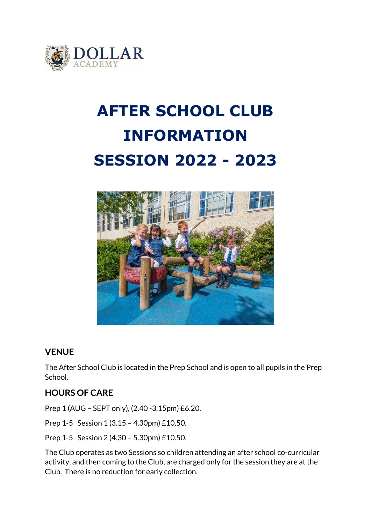

# **AFTER SCHOOL CLUB INFORMATION SESSION 2022 - 2023**



# **VENUE**

The After School Club is located in the Prep School and is open to all pupils in the Prep School.

# **HOURS OF CARE**

Prep 1 (AUG – SEPT only), (2.40 -3.15pm) £6.20.

Prep 1-5 Session 1 (3.15 – 4.30pm) £10.50.

Prep 1-5 Session 2 (4.30 – 5.30pm) £10.50.

The Club operates as two Sessions so children attending an after school co-curricular activity, and then coming to the Club, are charged only for the session they are at the Club. There is no reduction for early collection.